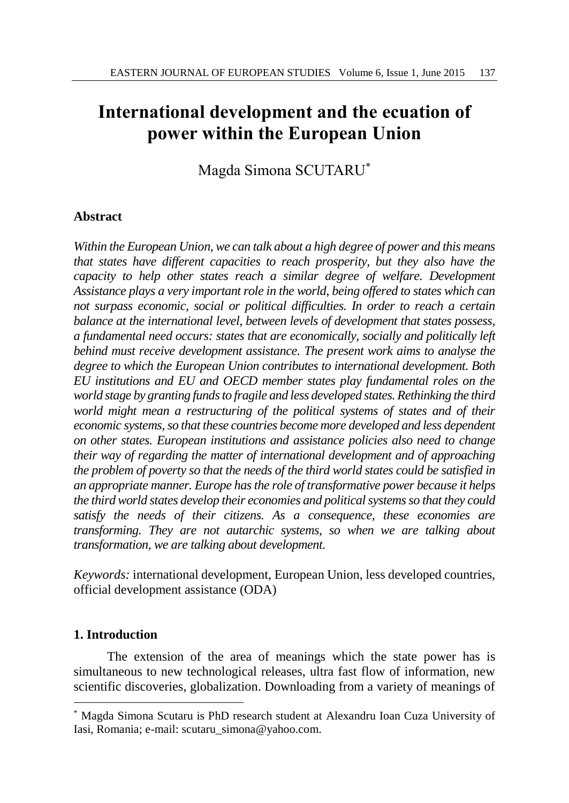# **International development and the ecuation of power within the European Union**

Magda Simona SCUTARU\*

# **Abstract**

*Within the European Union, we can talk about a high degree of power and this means that states have different capacities to reach prosperity, but they also have the capacity to help other states reach a similar degree of welfare. Development Assistance plays a very important role in the world, being offered to states which can not surpass economic, social or political difficulties. In order to reach a certain balance at the international level, between levels of development that states possess, a fundamental need occurs: states that are economically, socially and politically left behind must receive development assistance. The present work aims to analyse the degree to which the European Union contributes to international development. Both EU institutions and EU and OECD member states play fundamental roles on the*  world *stage* by granting funds to fragile and less developed states. Rethinking the third *world might mean a restructuring of the political systems of states and of their economic systems, so that these countries become more developed and less dependent on other states. European institutions and assistance policies also need to change their way of regarding the matter of international development and of approaching the problem of poverty so that the needs of the third world states could be satisfied in an appropriate manner. Europe has the role of transformative power because it helps the third world states develop their economies and political systems so that they could satisfy the needs of their citizens. As a consequence, these economies are transforming. They are not autarchic systems, so when we are talking about transformation, we are talking about development.*

*Keywords:* international development, European Union, less developed countries, official development assistance (ODA)

# **1. Introduction**

 $\overline{\phantom{a}}$ 

The extension of the area of meanings which the state power has is simultaneous to new technological releases, ultra fast flow of information, new scientific discoveries, globalization. Downloading from a variety of meanings of

<sup>\*</sup> Magda Simona Scutaru is PhD research student at Alexandru Ioan Cuza University of Iasi, Romania; e-mail: scutaru\_simona@yahoo.com.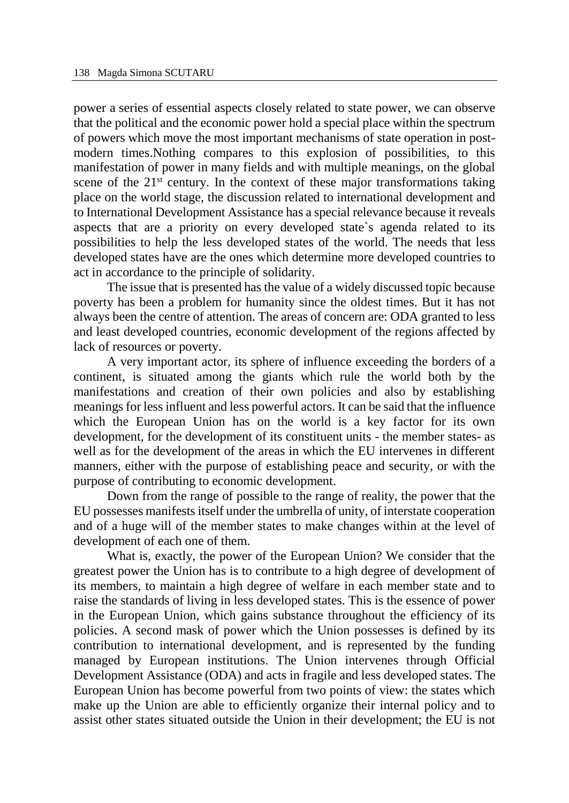power a series of essential aspects closely related to state power, we can observe that the political and the economic power hold a special place within the spectrum of powers which move the most important mechanisms of state operation in postmodern times.Nothing compares to this explosion of possibilities, to this manifestation of power in many fields and with multiple meanings, on the global scene of the  $21<sup>st</sup>$  century. In the context of these major transformations taking place on the world stage, the discussion related to international development and to International Development Assistance has a special relevance because it reveals aspects that are a priority on every developed state`s agenda related to its possibilities to help the less developed states of the world. The needs that less developed states have are the ones which determine more developed countries to act in accordance to the principle of solidarity.

The issue that is presented has the value of a widely discussed topic because poverty has been a problem for humanity since the oldest times. But it has not always been the centre of attention. The areas of concern are: ODA granted to less and least developed countries, economic development of the regions affected by lack of resources or poverty.

A very important actor, its sphere of influence exceeding the borders of a continent, is situated among the giants which rule the world both by the manifestations and creation of their own policies and also by establishing meanings for less influent and less powerful actors. It can be said that the influence which the European Union has on the world is a key factor for its own development, for the development of its constituent units - the member states- as well as for the development of the areas in which the EU intervenes in different manners, either with the purpose of establishing peace and security, or with the purpose of contributing to economic development.

Down from the range of possible to the range of reality, the power that the EU possesses manifests itself under the umbrella of unity, of interstate cooperation and of a huge will of the member states to make changes within at the level of development of each one of them.

What is, exactly, the power of the European Union? We consider that the greatest power the Union has is to contribute to a high degree of development of its members, to maintain a high degree of welfare in each member state and to raise the standards of living in less developed states. This is the essence of power in the European Union, which gains substance throughout the efficiency of its policies. A second mask of power which the Union possesses is defined by its contribution to international development, and is represented by the funding managed by European institutions. The Union intervenes through Official Development Assistance (ODA) and acts in fragile and less developed states. The European Union has become powerful from two points of view: the states which make up the Union are able to efficiently organize their internal policy and to assist other states situated outside the Union in their development; the EU is not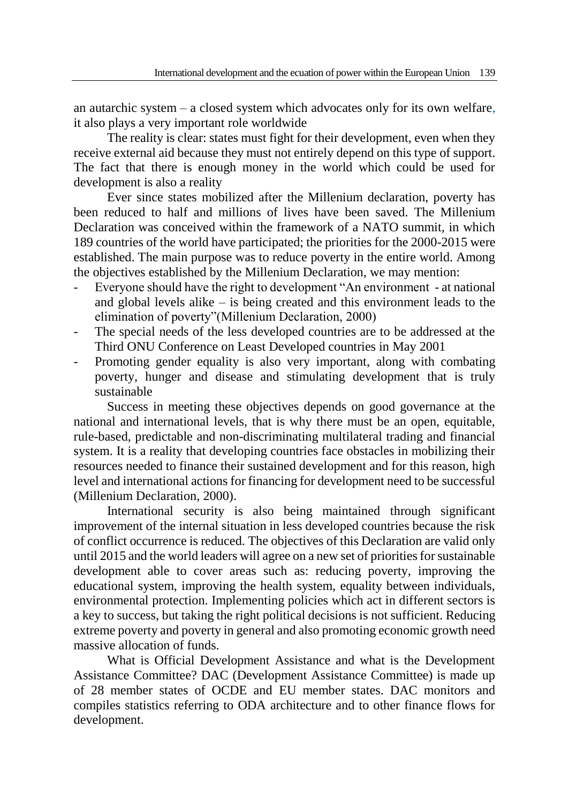an autarchic system – a closed system which advocates only for its own welfare, it also plays a very important role worldwide

The reality is clear: states must fight for their development, even when they receive external aid because they must not entirely depend on this type of support. The fact that there is enough money in the world which could be used for development is also a reality

Ever since states mobilized after the Millenium declaration, poverty has been reduced to half and millions of lives have been saved. The Millenium Declaration was conceived within the framework of a NATO summit, in which 189 countries of the world have participated; the priorities for the 2000-2015 were established. The main purpose was to reduce poverty in the entire world. Among the objectives established by the Millenium Declaration, we may mention:

- Everyone should have the right to development "An environment at national and global levels alike – is being created and this environment leads to the elimination of poverty"(Millenium Declaration, 2000)
- The special needs of the less developed countries are to be addressed at the Third ONU Conference on Least Developed countries in May 2001
- Promoting gender equality is also very important, along with combating poverty, hunger and disease and stimulating development that is truly sustainable

Success in meeting these objectives depends on good governance at the national and international levels, that is why there must be an open, equitable, rule-based, predictable and non-discriminating multilateral trading and financial system. It is a reality that developing countries face obstacles in mobilizing their resources needed to finance their sustained development and for this reason, high level and international actions for financing for development need to be successful (Millenium Declaration, 2000).

International security is also being maintained through significant improvement of the internal situation in less developed countries because the risk of conflict occurrence is reduced. The objectives of this Declaration are valid only until 2015 and the world leaders will agree on a new set of priorities for sustainable development able to cover areas such as: reducing poverty, improving the educational system, improving the health system, equality between individuals, environmental protection. Implementing policies which act in different sectors is a key to success, but taking the right political decisions is not sufficient. Reducing extreme poverty and poverty in general and also promoting economic growth need massive allocation of funds.

What is Official Development Assistance and what is the Development Assistance Committee? DAC (Development Assistance Committee) is made up of 28 member states of OCDE and EU member states. DAC monitors and compiles statistics referring to ODA architecture and to other finance flows for development.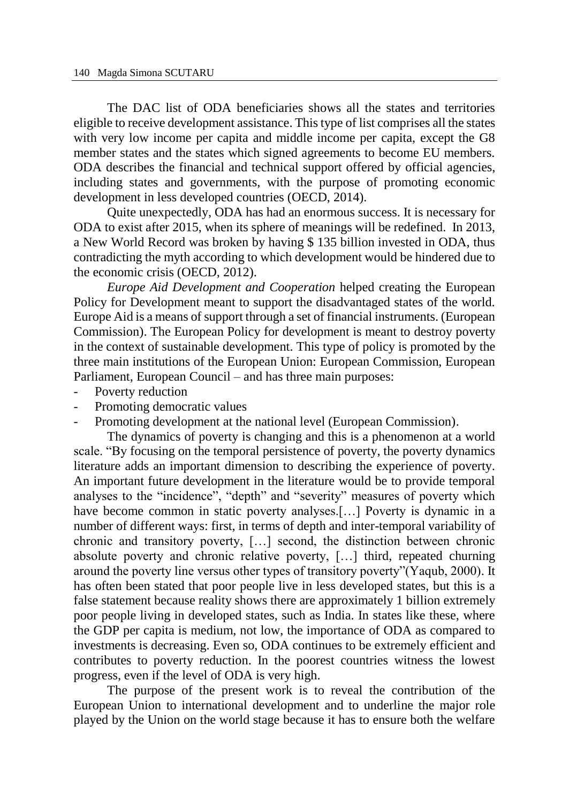The DAC list of ODA beneficiaries shows all the states and territories eligible to receive development assistance. This type of list comprises all the states with very low income per capita and middle income per capita, except the G8 member states and the states which signed agreements to become EU members. ODA describes the financial and technical support offered by official agencies, including states and governments, with the purpose of promoting economic development in less developed countries (OECD, 2014).

Quite unexpectedly, ODA has had an enormous success. It is necessary for ODA to exist after 2015, when its sphere of meanings will be redefined. In 2013, a New World Record was broken by having \$ 135 billion invested in ODA, thus contradicting the myth according to which development would be hindered due to the economic crisis (OECD, 2012).

*Europe Aid Development and Cooperation* helped creating the European Policy for Development meant to support the disadvantaged states of the world. Europe Aid is a means of support through a set of financial instruments. (European Commission). The European Policy for development is meant to destroy poverty in the context of sustainable development. This type of policy is promoted by the three main institutions of the European Union: European Commission, European Parliament, European Council – and has three main purposes:

- Poverty reduction
- Promoting democratic values
- Promoting development at the national level (European Commission).

The dynamics of poverty is changing and this is a phenomenon at a world scale. "By focusing on the temporal persistence of poverty, the poverty dynamics literature adds an important dimension to describing the experience of poverty. An important future development in the literature would be to provide temporal analyses to the "incidence", "depth" and "severity" measures of poverty which have become common in static poverty analyses.[...] Poverty is dynamic in a number of different ways: first, in terms of depth and inter-temporal variability of chronic and transitory poverty, […] second, the distinction between chronic absolute poverty and chronic relative poverty, […] third, repeated churning around the poverty line versus other types of transitory poverty"(Yaqub, 2000). It has often been stated that poor people live in less developed states, but this is a false statement because reality shows there are approximately 1 billion extremely poor people living in developed states, such as India. In states like these, where the GDP per capita is medium, not low, the importance of ODA as compared to investments is decreasing. Even so, ODA continues to be extremely efficient and contributes to poverty reduction. In the poorest countries witness the lowest progress, even if the level of ODA is very high.

The purpose of the present work is to reveal the contribution of the European Union to international development and to underline the major role played by the Union on the world stage because it has to ensure both the welfare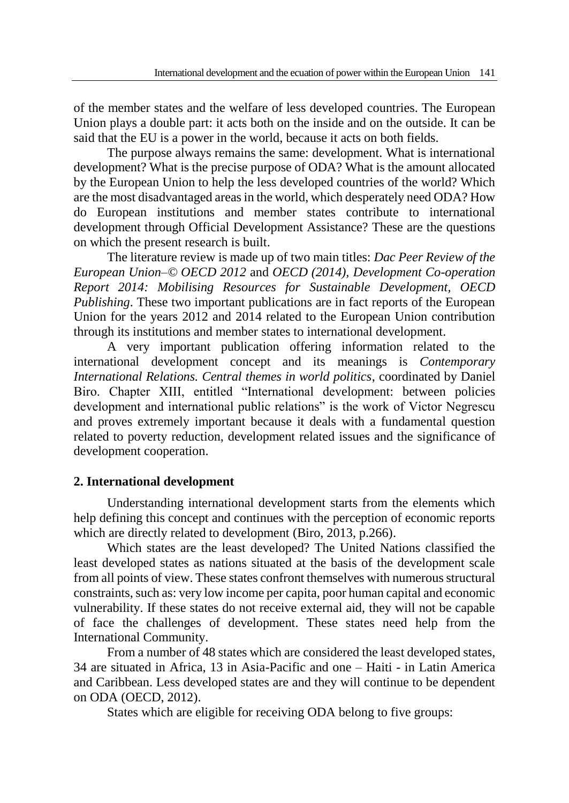of the member states and the welfare of less developed countries. The European Union plays a double part: it acts both on the inside and on the outside. It can be said that the EU is a power in the world, because it acts on both fields.

The purpose always remains the same: development. What is international development? What is the precise purpose of ODA? What is the amount allocated by the European Union to help the less developed countries of the world? Which are the most disadvantaged areas in the world, which desperately need ODA? How do European institutions and member states contribute to international development through Official Development Assistance? These are the questions on which the present research is built.

The literature review is made up of two main titles: *Dac Peer Review of the European Union–© OECD 2012* and *OECD (2014), Development Co-operation Report 2014: Mobilising Resources for Sustainable Development, OECD Publishing*. These two important publications are in fact reports of the European Union for the years 2012 and 2014 related to the European Union contribution through its institutions and member states to international development.

A very important publication offering information related to the international development concept and its meanings is *Contemporary International Relations. Central themes in world politics*, coordinated by Daniel Biro. Chapter XIII, entitled "International development: between policies development and international public relations" is the work of Victor Negrescu and proves extremely important because it deals with a fundamental question related to poverty reduction, development related issues and the significance of development cooperation.

# **2. International development**

Understanding international development starts from the elements which help defining this concept and continues with the perception of economic reports which are directly related to development (Biro, 2013, p.266).

Which states are the least developed? The United Nations classified the least developed states as nations situated at the basis of the development scale from all points of view. These states confront themselves with numerous structural constraints, such as: very low income per capita, poor human capital and economic vulnerability. If these states do not receive external aid, they will not be capable of face the challenges of development. These states need help from the International Community.

From a number of 48 states which are considered the least developed states, 34 are situated in Africa, 13 in Asia-Pacific and one – Haiti - in Latin America and Caribbean. Less developed states are and they will continue to be dependent on ODA (OECD, 2012).

States which are eligible for receiving ODA belong to five groups: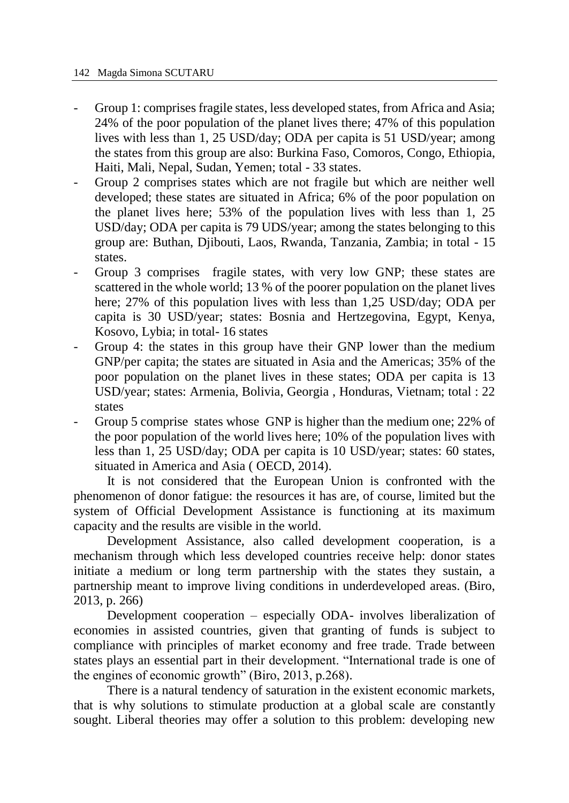- Group 1: comprises fragile states, less developed states, from Africa and Asia; 24% of the poor population of the planet lives there; 47% of this population lives with less than 1, 25 USD/day; ODA per capita is 51 USD/year; among the states from this group are also: Burkina Faso, Comoros, Congo, Ethiopia, Haiti, Mali, Nepal, Sudan, Yemen; total - 33 states.
- Group 2 comprises states which are not fragile but which are neither well developed; these states are situated in Africa; 6% of the poor population on the planet lives here; 53% of the population lives with less than 1, 25 USD/day; ODA per capita is 79 UDS/year; among the states belonging to this group are: Buthan, Djibouti, Laos, Rwanda, Tanzania, Zambia; in total - 15 states.
- Group 3 comprises fragile states, with very low GNP; these states are scattered in the whole world; 13 % of the poorer population on the planet lives here; 27% of this population lives with less than 1,25 USD/day; ODA per capita is 30 USD/year; states: Bosnia and Hertzegovina, Egypt, Kenya, Kosovo, Lybia; in total- 16 states
- Group 4: the states in this group have their GNP lower than the medium GNP/per capita; the states are situated in Asia and the Americas; 35% of the poor population on the planet lives in these states; ODA per capita is 13 USD/year; states: Armenia, Bolivia, Georgia , Honduras, Vietnam; total : 22 states
- Group 5 comprise states whose GNP is higher than the medium one; 22% of the poor population of the world lives here; 10% of the population lives with less than 1, 25 USD/day; ODA per capita is 10 USD/year; states: 60 states, situated in America and Asia ( OECD, 2014).

It is not considered that the European Union is confronted with the phenomenon of donor fatigue: the resources it has are, of course, limited but the system of Official Development Assistance is functioning at its maximum capacity and the results are visible in the world.

Development Assistance, also called development cooperation, is a mechanism through which less developed countries receive help: donor states initiate a medium or long term partnership with the states they sustain, a partnership meant to improve living conditions in underdeveloped areas. (Biro, 2013, p. 266)

Development cooperation – especially ODA- involves liberalization of economies in assisted countries, given that granting of funds is subject to compliance with principles of market economy and free trade. Trade between states plays an essential part in their development. "International trade is one of the engines of economic growth" (Biro, 2013, p.268).

There is a natural tendency of saturation in the existent economic markets, that is why solutions to stimulate production at a global scale are constantly sought. Liberal theories may offer a solution to this problem: developing new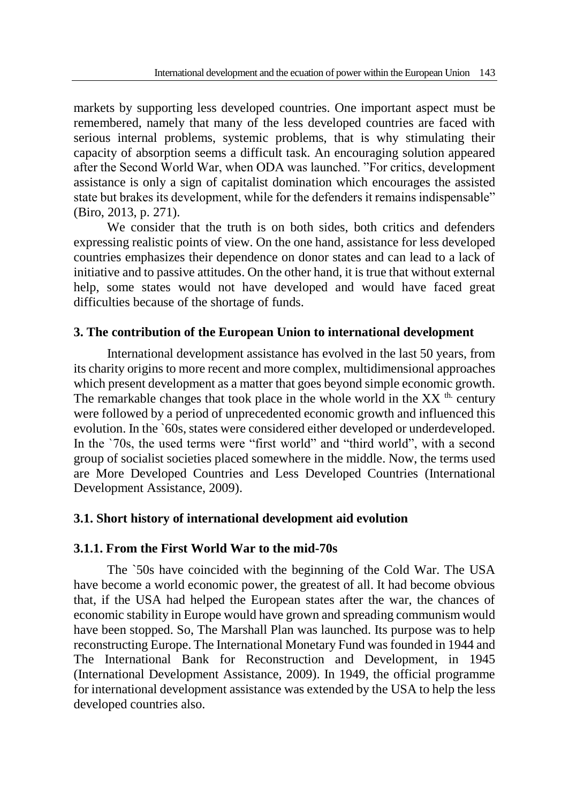markets by supporting less developed countries. One important aspect must be remembered, namely that many of the less developed countries are faced with serious internal problems, systemic problems, that is why stimulating their capacity of absorption seems a difficult task. An encouraging solution appeared after the Second World War, when ODA was launched. "For critics, development assistance is only a sign of capitalist domination which encourages the assisted state but brakes its development, while for the defenders it remains indispensable" (Biro, 2013, p. 271).

We consider that the truth is on both sides, both critics and defenders expressing realistic points of view. On the one hand, assistance for less developed countries emphasizes their dependence on donor states and can lead to a lack of initiative and to passive attitudes. On the other hand, it is true that without external help, some states would not have developed and would have faced great difficulties because of the shortage of funds.

# **3. The contribution of the European Union to international development**

International development assistance has evolved in the last 50 years, from its charity origins to more recent and more complex, multidimensional approaches which present development as a matter that goes beyond simple economic growth. The remarkable changes that took place in the whole world in the  $XX$ <sup>th.</sup> century were followed by a period of unprecedented economic growth and influenced this evolution. In the `60s, states were considered either developed or underdeveloped. In the `70s, the used terms were "first world" and "third world", with a second group of socialist societies placed somewhere in the middle. Now, the terms used are More Developed Countries and Less Developed Countries (International Development Assistance, 2009).

# **3.1. Short history of international development aid evolution**

# **3.1.1. From the First World War to the mid-70s**

The `50s have coincided with the beginning of the Cold War. The USA have become a world economic power, the greatest of all. It had become obvious that, if the USA had helped the European states after the war, the chances of economic stability in Europe would have grown and spreading communism would have been stopped. So, The Marshall Plan was launched. Its purpose was to help reconstructing Europe. The International Monetary Fund was founded in 1944 and The International Bank for Reconstruction and Development, in 1945 (International Development Assistance, 2009). In 1949, the official programme for international development assistance was extended by the USA to help the less developed countries also.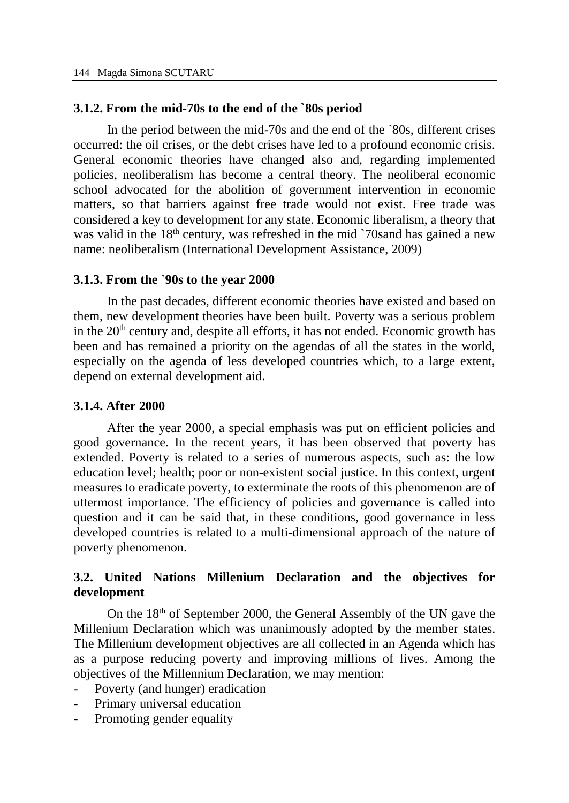#### **3.1.2. From the mid-70s to the end of the `80s period**

In the period between the mid-70s and the end of the `80s, different crises occurred: the oil crises, or the debt crises have led to a profound economic crisis. General economic theories have changed also and, regarding implemented policies, neoliberalism has become a central theory. The neoliberal economic school advocated for the abolition of government intervention in economic matters, so that barriers against free trade would not exist. Free trade was considered a key to development for any state. Economic liberalism, a theory that was valid in the  $18<sup>th</sup>$  century, was refreshed in the mid `70sand has gained a new name: neoliberalism (International Development Assistance, 2009)

#### **3.1.3. From the `90s to the year 2000**

In the past decades, different economic theories have existed and based on them, new development theories have been built. Poverty was a serious problem in the  $20<sup>th</sup>$  century and, despite all efforts, it has not ended. Economic growth has been and has remained a priority on the agendas of all the states in the world, especially on the agenda of less developed countries which, to a large extent, depend on external development aid.

#### **3.1.4. After 2000**

After the year 2000, a special emphasis was put on efficient policies and good governance. In the recent years, it has been observed that poverty has extended. Poverty is related to a series of numerous aspects, such as: the low education level; health; poor or non-existent social justice. In this context, urgent measures to eradicate poverty, to exterminate the roots of this phenomenon are of uttermost importance. The efficiency of policies and governance is called into question and it can be said that, in these conditions, good governance in less developed countries is related to a multi-dimensional approach of the nature of poverty phenomenon.

# **3.2. United Nations Millenium Declaration and the objectives for development**

On the 18<sup>th</sup> of September 2000, the General Assembly of the UN gave the Millenium Declaration which was unanimously adopted by the member states. The Millenium development objectives are all collected in an Agenda which has as a purpose reducing poverty and improving millions of lives. Among the objectives of the Millennium Declaration, we may mention:

- Poverty (and hunger) eradication
- Primary universal education
- Promoting gender equality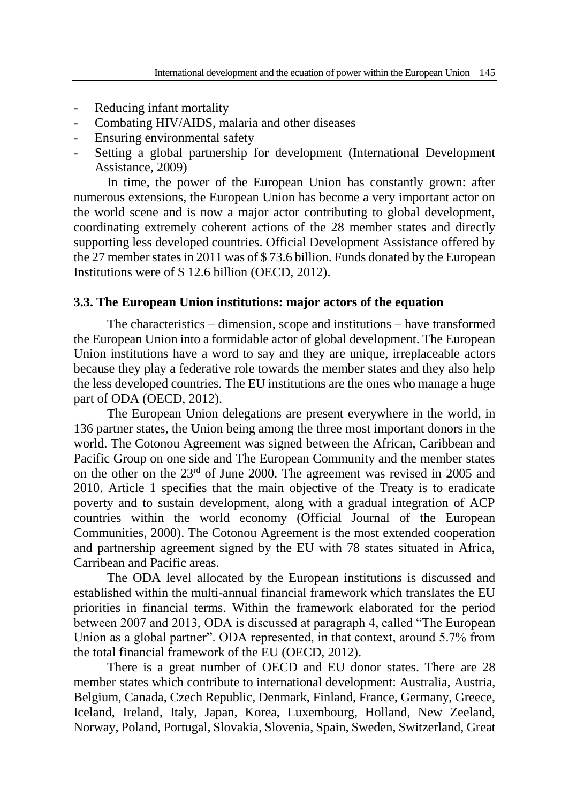- Reducing infant mortality
- Combating HIV/AIDS, malaria and other diseases
- Ensuring environmental safety
- Setting a global partnership for development (International Development Assistance, 2009)

In time, the power of the European Union has constantly grown: after numerous extensions, the European Union has become a very important actor on the world scene and is now a major actor contributing to global development, coordinating extremely coherent actions of the 28 member states and directly supporting less developed countries. Official Development Assistance offered by the 27 member states in 2011 was of \$ 73.6 billion. Funds donated by the European Institutions were of \$ 12.6 billion (OECD, 2012).

#### **3.3. The European Union institutions: major actors of the equation**

The characteristics – dimension, scope and institutions – have transformed the European Union into a formidable actor of global development. The European Union institutions have a word to say and they are unique, irreplaceable actors because they play a federative role towards the member states and they also help the less developed countries. The EU institutions are the ones who manage a huge part of ODA (OECD, 2012).

The European Union delegations are present everywhere in the world, in 136 partner states, the Union being among the three most important donors in the world. The Cotonou Agreement was signed between the African, Caribbean and Pacific Group on one side and The European Community and the member states on the other on the 23rd of June 2000. The agreement was revised in 2005 and 2010. Article 1 specifies that the main objective of the Treaty is to eradicate poverty and to sustain development, along with a gradual integration of ACP countries within the world economy (Official Journal of the European Communities, 2000). The Cotonou Agreement is the most extended cooperation and partnership agreement signed by the EU with 78 states situated in Africa, Carribean and Pacific areas.

The ODA level allocated by the European institutions is discussed and established within the multi-annual financial framework which translates the EU priorities in financial terms. Within the framework elaborated for the period between 2007 and 2013, ODA is discussed at paragraph 4, called "The European Union as a global partner". ODA represented, in that context, around 5.7% from the total financial framework of the EU (OECD, 2012).

There is a great number of OECD and EU donor states. There are 28 member states which contribute to international development: Australia, Austria, Belgium, Canada, Czech Republic, Denmark, Finland, France, Germany, Greece, Iceland, Ireland, Italy, Japan, Korea, Luxembourg, Holland, New Zeeland, Norway, Poland, Portugal, Slovakia, Slovenia, Spain, Sweden, Switzerland, Great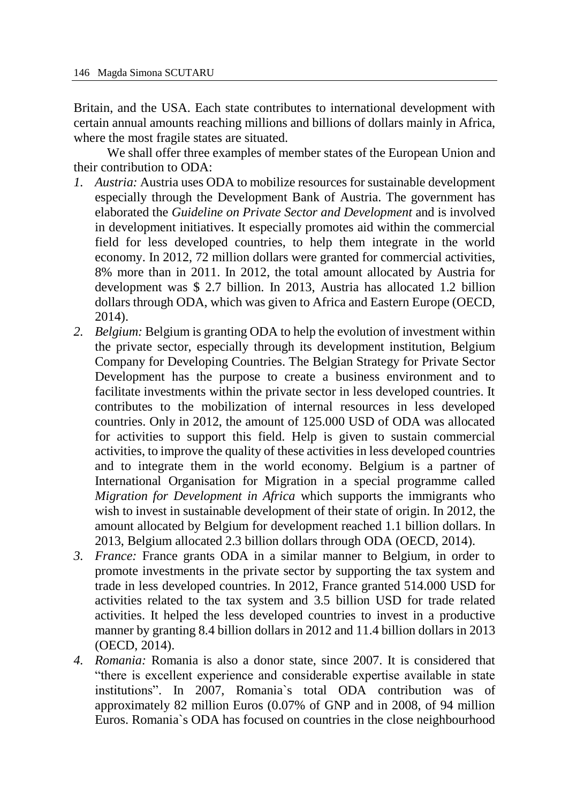Britain, and the USA. Each state contributes to international development with certain annual amounts reaching millions and billions of dollars mainly in Africa, where the most fragile states are situated.

We shall offer three examples of member states of the European Union and their contribution to ODA:

- *1. Austria:* Austria uses ODA to mobilize resources for sustainable development especially through the Development Bank of Austria. The government has elaborated the *Guideline on Private Sector and Development* and is involved in development initiatives. It especially promotes aid within the commercial field for less developed countries, to help them integrate in the world economy. In 2012, 72 million dollars were granted for commercial activities, 8% more than in 2011. In 2012, the total amount allocated by Austria for development was \$ 2.7 billion. In 2013, Austria has allocated 1.2 billion dollars through ODA, which was given to Africa and Eastern Europe (OECD, 2014).
- *2. Belgium:* Belgium is granting ODA to help the evolution of investment within the private sector, especially through its development institution, Belgium Company for Developing Countries. The Belgian Strategy for Private Sector Development has the purpose to create a business environment and to facilitate investments within the private sector in less developed countries. It contributes to the mobilization of internal resources in less developed countries. Only in 2012, the amount of 125.000 USD of ODA was allocated for activities to support this field. Help is given to sustain commercial activities, to improve the quality of these activities in less developed countries and to integrate them in the world economy. Belgium is a partner of International Organisation for Migration in a special programme called *Migration for Development in Africa* which supports the immigrants who wish to invest in sustainable development of their state of origin. In 2012, the amount allocated by Belgium for development reached 1.1 billion dollars. In 2013, Belgium allocated 2.3 billion dollars through ODA (OECD, 2014).
- *3. France:* France grants ODA in a similar manner to Belgium, in order to promote investments in the private sector by supporting the tax system and trade in less developed countries. In 2012, France granted 514.000 USD for activities related to the tax system and 3.5 billion USD for trade related activities. It helped the less developed countries to invest in a productive manner by granting 8.4 billion dollars in 2012 and 11.4 billion dollars in 2013 (OECD, 2014).
- *4. Romania:* Romania is also a donor state, since 2007. It is considered that "there is excellent experience and considerable expertise available in state institutions". In 2007, Romania`s total ODA contribution was of approximately 82 million Euros (0.07% of GNP and in 2008, of 94 million Euros. Romania`s ODA has focused on countries in the close neighbourhood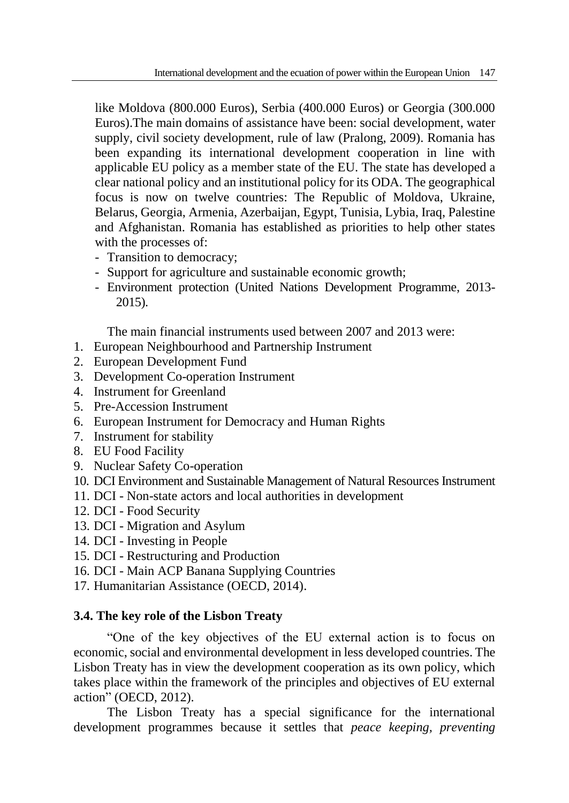like Moldova (800.000 Euros), Serbia (400.000 Euros) or Georgia (300.000 Euros).The main domains of assistance have been: social development, water supply, civil society development, rule of law (Pralong, 2009). Romania has been expanding its international development cooperation in line with applicable EU policy as a member state of the EU. The state has developed a clear national policy and an institutional policy for its ODA. The geographical focus is now on twelve countries: The Republic of Moldova, Ukraine, Belarus, Georgia, Armenia, Azerbaijan, Egypt, Tunisia, Lybia, Iraq, Palestine and Afghanistan. Romania has established as priorities to help other states with the processes of:

- Transition to democracy;
- Support for agriculture and sustainable economic growth;
- Environment protection (United Nations Development Programme, 2013- 2015).

The main financial instruments used between 2007 and 2013 were:

- 1. European Neighbourhood and Partnership Instrument
- 2. European Development Fund
- 3. Development Co-operation Instrument
- 4. Instrument for Greenland
- 5. Pre-Accession Instrument
- 6. European Instrument for Democracy and Human Rights
- 7. Instrument for stability
- 8. EU Food Facility
- 9. Nuclear Safety Co-operation
- 10. DCI Environment and Sustainable Management of Natural Resources Instrument
- 11. DCI Non-state actors and local authorities in development
- 12. DCI Food Security
- 13. DCI Migration and Asylum
- 14. DCI Investing in People
- 15. DCI Restructuring and Production
- 16. DCI Main ACP Banana Supplying Countries
- 17. Humanitarian Assistance (OECD, 2014).

# **3.4. The key role of the Lisbon Treaty**

"One of the key objectives of the EU external action is to focus on economic, social and environmental development in less developed countries. The Lisbon Treaty has in view the development cooperation as its own policy, which takes place within the framework of the principles and objectives of EU external action" (OECD, 2012).

The Lisbon Treaty has a special significance for the international development programmes because it settles that *peace keeping, preventing*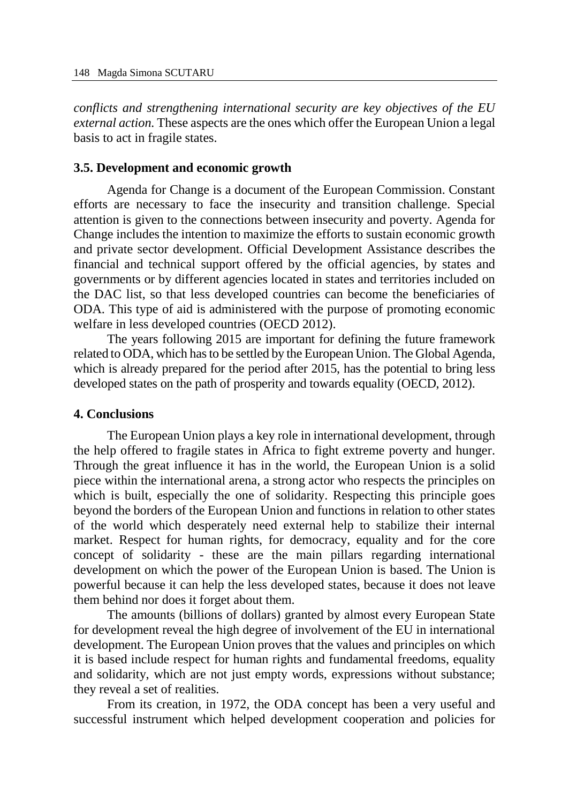*conflicts and strengthening international security are key objectives of the EU external action.* These aspects are the ones which offer the European Union a legal basis to act in fragile states.

#### **3.5. Development and economic growth**

Agenda for Change is a document of the European Commission. Constant efforts are necessary to face the insecurity and transition challenge. Special attention is given to the connections between insecurity and poverty. Agenda for Change includes the intention to maximize the efforts to sustain economic growth and private sector development. Official Development Assistance describes the financial and technical support offered by the official agencies, by states and governments or by different agencies located in states and territories included on the DAC list, so that less developed countries can become the beneficiaries of ODA. This type of aid is administered with the purpose of promoting economic welfare in less developed countries (OECD 2012).

The years following 2015 are important for defining the future framework related to ODA, which has to be settled by the European Union. The Global Agenda, which is already prepared for the period after 2015, has the potential to bring less developed states on the path of prosperity and towards equality (OECD, 2012).

#### **4. Conclusions**

The European Union plays a key role in international development, through the help offered to fragile states in Africa to fight extreme poverty and hunger. Through the great influence it has in the world, the European Union is a solid piece within the international arena, a strong actor who respects the principles on which is built, especially the one of solidarity. Respecting this principle goes beyond the borders of the European Union and functions in relation to other states of the world which desperately need external help to stabilize their internal market. Respect for human rights, for democracy, equality and for the core concept of solidarity - these are the main pillars regarding international development on which the power of the European Union is based. The Union is powerful because it can help the less developed states, because it does not leave them behind nor does it forget about them.

The amounts (billions of dollars) granted by almost every European State for development reveal the high degree of involvement of the EU in international development. The European Union proves that the values and principles on which it is based include respect for human rights and fundamental freedoms, equality and solidarity, which are not just empty words, expressions without substance; they reveal a set of realities.

From its creation, in 1972, the ODA concept has been a very useful and successful instrument which helped development cooperation and policies for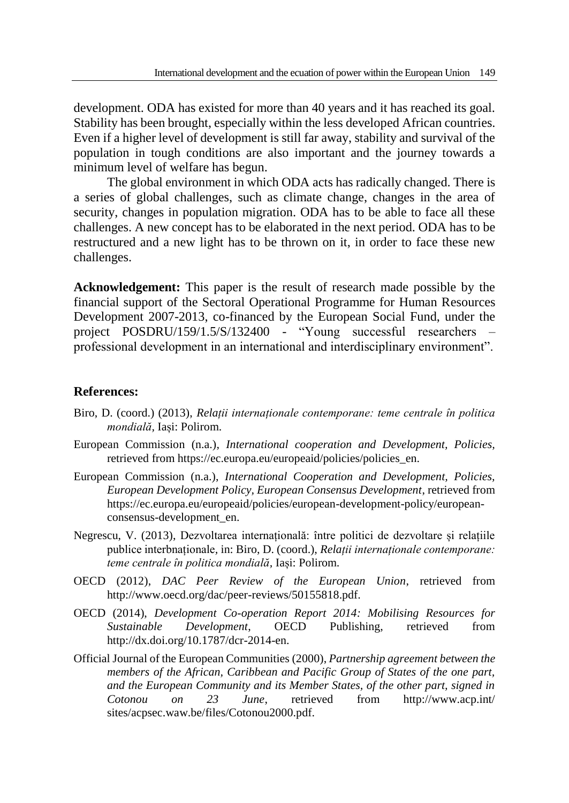development. ODA has existed for more than 40 years and it has reached its goal. Stability has been brought, especially within the less developed African countries. Even if a higher level of development is still far away, stability and survival of the population in tough conditions are also important and the journey towards a minimum level of welfare has begun.

The global environment in which ODA acts has radically changed. There is a series of global challenges, such as climate change, changes in the area of security, changes in population migration. ODA has to be able to face all these challenges. A new concept has to be elaborated in the next period. ODA has to be restructured and a new light has to be thrown on it, in order to face these new challenges.

**Acknowledgement:** This paper is the result of research made possible by the financial support of the Sectoral Operational Programme for Human Resources Development 2007-2013, co-financed by the European Social Fund, under the project POSDRU/159/1.5/S/132400 - "Young successful researchers – professional development in an international and interdisciplinary environment".

#### **References:**

- Biro, D. (coord.) (2013), *Relații internaționale contemporane: teme centrale în politica mondială,* Iași: Polirom.
- European Commission (n.a.), *International cooperation and Development, Policies,*  retrieved from https://ec.europa.eu/europeaid/policies/policies\_en.
- European Commission (n.a.), *International Cooperation and Development, Policies, European Development Policy, European Consensus Development*, retrieved from https://ec.europa.eu/europeaid/policies/european-development-policy/europeanconsensus-development\_en.
- Negrescu, V. (2013), Dezvoltarea internațională: între politici de dezvoltare și relațiile publice interbnaționale*,* in: Biro, D. (coord.), *Relații internaționale contemporane: teme centrale în politica mondială,* Iași: Polirom.
- OECD (2012), *DAC Peer Review of the European Union*, retrieved from http://www.oecd.org/dac/peer-reviews/50155818.pdf.
- OECD (2014), *Development Co-operation Report 2014: Mobilising Resources for Sustainable Development*, OECD Publishing, retrieved from http://dx.doi.org/10.1787/dcr-2014-en.
- Official Journal of the European Communities (2000), *Partnership agreement between the members of the African, Caribbean and Pacific Group of States of the one part, and the European Community and its Member States, of the other part, signed in Cotonou on 23 June*, retrieved from http://www.acp.int/ sites/acpsec.waw.be/files/Cotonou2000.pdf.